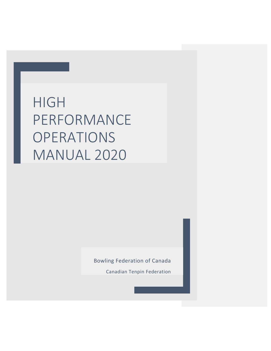# HIGH PERFORMANCE **OPERATIONS** MANUAL 2020

Bowling Federation of Canada

Canadian Tenpin Federation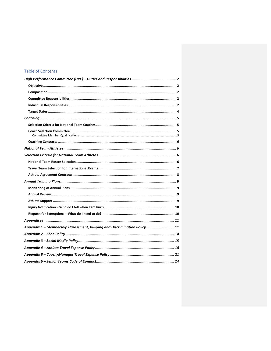# Table of Contents

| Appendix 1 - Membership Harassment, Bullying and Discrimination Policy  11 |
|----------------------------------------------------------------------------|
|                                                                            |
|                                                                            |
|                                                                            |
|                                                                            |
|                                                                            |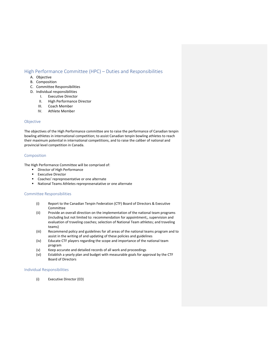# High Performance Committee (HPC) – Duties and Responsibilities

- A. Objective
- B. Composition
- C. Committee Responsibilities
- D. Individual responsibilities
	- I. Executive Director
	- II. High Performance Director
	- III. Coach Member
	- IV. Athlete Member

# Objective

The objectives of the High Performance committee are to raise the performance of Canadian tenpin bowling athletes in international competition; to assist Canadian tenpin bowling athletes to reach their maximum potential in international competitions, and to raise the caliber of national and provincial level competition in Canada.

# Composition

The High Performance Committee will be comprised of:

- **•** Director of High Performance
- **Executive Director**
- Coaches' reprepresentative or one alternate
- National Teams Athletes reprepresenatative or one alternate

# Committee Responsibilities

- (i) Report to the Canadian Tenpin Federation (CTF) Board of Directors & Executive Committee
- (ii) Provide an overall direction on the implementation of the national team programs (including but not limited to: recommendation for appointment;, supervision and evaluation of traveling coaches; selection of National Team athletes; and traveling teams)
- (iii) Recommend policy and guidelines for all areas of the national teams program and to assist in the writing of and updating of these policies and guidelines
- (iv) Educate CTF players regarding the scope and importance of the national team program
- (v) Keep accurate and detailed records of all work and proceedings
- (vi) Establish a yearly plan and budget with measurable goals for approval by the CTF Board of Directors

## Individual Responsibilities

(i) Executive Director (ED)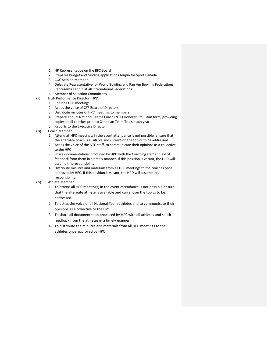- 1. HP Representative on the BFC Board
- 2. Prepares budget and funding applications tenpin for Sport Canada
- 3. COC Session Member
- 4. Delegate Representative for World Bowling and Pan Am Bowling Federations
- 5. Represents Tenpin at all International Federations
- 6. Member of Selection Committees
- (ii) High Performance Director (HPD)
	- 1. Chair all HPC meetings
	- 2. Act as the voice of CTF Board of Directors
	- 3. Distribute minutes of HPC meetings to members
	- 4. Prepare annual National Teams Coach (NTC) Honorarium Claim form, providing copies to all coaches prior to Canadian Team Trials, each year
	- 5. Reports to the Executive Director
- (iii) Coach Member
	- 1. Attend all HPC meetings; in the event attendance is not possible, ensure that the alternate coach is available and current on the topics to be addressed
	- 2. Act as the voice of the NTC staff, to communicate their opinions as a collective to the HPC
	- 3. Share documentations produced by HPD with the Coaching staff and solicit feedback from them in a timely manner. If this position is vacant, the HPD will assume this responsibility.
	- 4. Distribute minutes and materials from all HPC meetings to the coaches once approved by HPC. If this position is vacant, the HPD will assume this responsibility.
- (iv) Athlete Member
	- 1. To attend all HPC meetings; in the event attendance is not possible ensure that the alternate athlete is available and current on the topics to be addressed
	- 2. To act as the voice of all National Team athletes and to communicate their opinions as a collective to the HPC
	- 3. To share all documentation produced by HPC with all athletes and solicit feedback from the athletes in a timely manner
	- 4. To distribute the minutes and materials from all HPC meetings to the athletes once approved by HPC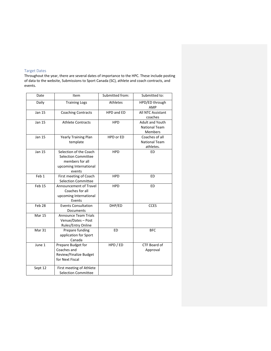# Target Dates

Throughout the year, there are several dates of importance to the HPC. These include posting of data to the website, Submissions to Sport Canada (SC), athlete and coach contracts, and events.

| Date             | Item                                                                                                        | Submitted from: | Submitted to:                                             |
|------------------|-------------------------------------------------------------------------------------------------------------|-----------------|-----------------------------------------------------------|
| Daily            | <b>Training Logs</b>                                                                                        | Athletes        | HPD/ED through<br>AMP                                     |
| <b>Jan 15</b>    | <b>Coaching Contracts</b>                                                                                   | HPD and ED      | All NTC Assistant<br>coaches                              |
| <b>Jan 15</b>    | <b>Athlete Contracts</b>                                                                                    | <b>HPD</b>      | Adult and Youth<br><b>National Team</b><br><b>Members</b> |
| Jan 15           | <b>Yearly Training Plan</b><br>template                                                                     | HPD or ED       | Coaches of all<br><b>National Team</b><br>athletes.       |
| Jan 15           | Selection of the Coach<br><b>Selection Committee</b><br>members for all<br>upcoming International<br>events | <b>HPD</b>      | <b>ED</b>                                                 |
| Feb <sub>1</sub> | First meeting of Coach<br><b>Selection Committee</b>                                                        | <b>HPD</b>      | ED                                                        |
| Feb 15           | Announcement of Travel<br>Coaches for all<br>upcoming International<br>Events                               | <b>HPD</b>      | <b>ED</b>                                                 |
| Feb 28           | <b>Events Consultation</b><br>Documents                                                                     | DHP/ED          | <b>CCES</b>                                               |
| Mar 15           | <b>Announce Team Trials</b><br>Venue/Dates - Post<br>Rules/Entry Online                                     |                 |                                                           |
| Mar 31           | Prepare funding<br>application for Sport<br>Canada                                                          | ED              | <b>BFC</b>                                                |
| June 1           | Prepare Budget for<br>Coaches and<br>Review/Finalize Budget<br>for Next Fiscal                              | HPD / ED        | CTF Board of<br>Approval                                  |
| Sept 12          | First meeting of Athlete<br><b>Selection Committee</b>                                                      |                 |                                                           |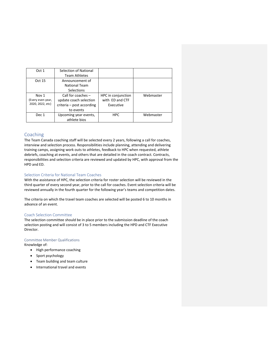| Oct 1             | Selection of National     |                    |           |
|-------------------|---------------------------|--------------------|-----------|
|                   | <b>Team Athletes</b>      |                    |           |
| Oct 15            | Announcement of           |                    |           |
|                   | <b>National Team</b>      |                    |           |
|                   | <b>Selections</b>         |                    |           |
| Nov 1             | Call for coaches $-$      | HPC in conjunction | Webmaster |
| (Every even year, | update coach selection    | with ED and CTF    |           |
| 2020, 2022, etc)  | criteria - post according | Executive          |           |
|                   | to events                 |                    |           |
| Dec 1             | Upcoming year events,     | <b>HPC</b>         | Webmaster |
|                   | athlete bios              |                    |           |

# Coaching

The Team Canada coaching staff will be selected every 2 years, following a call for coaches, interview and selection process. Responsibilities include planning, attending and delivering training camps, assigning work outs to athletes, feedback to HPC when requested, athlete debriefs, coaching at events, and others that are detailed in the coach contract. Contracts, responsibilities and selection criteria are reviewed and updated by HPC, with approval from the HPD and ED.

# Selection Criteria for National Team Coaches

With the assistance of HPC, the selection criteria for roster selection will be reviewed in the third quarter of every second year, prior to the call for coaches. Event selection criteria will be reviewed annually in the fourth quarter for the following year's teams and competition dates.

The criteria on which the travel team coaches are selected will be posted 6 to 10 months in advance of an event.

# Coach Selection Committee

The selection committee should be in place prior to the submission deadline of the coach selection posting and will consist of 3 to 5 members including the HPD and CTF Executive Director.

## Committee Member Qualifications

Knowledge of:

- High performance coaching
- Sport psychology
- Team building and team culture
- International travel and events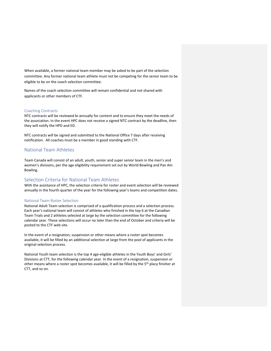When available, a former national team member may be asked to be part of the selection committee. Any former national team athlete must not be competing for the senior team to be eligible to be on the coach selection committee.

Names of the coach selection committee will remain confidential and not shared with applicants or other members of CTF.

## Coaching Contracts

NTC contracts will be reviewed bi-annually for content and to ensure they meet the needs of the association. In the event HPC does not receive a signed NTC contract by the deadline, then they will notify the HPD and ED.

NTC contracts will be signed and submitted to the National Office 7 days after receiving notification. All coaches must be a member in good standing with CTF.

# National Team Athletes

Team Canada will consist of an adult, youth, senior and super senior team in the men's and women's divisions, per the age eligibility requirement set out by World Bowling and Pan Am Bowling.

# Selection Criteria for National Team Athletes

With the assistance of HPC, the selection criteria for roster and event selection will be reviewed annually in the fourth quarter of the year for the following year's teams and competition dates.

## National Team Roster Selection

National Adult Team selection is comprised of a qualification process and a selection process. Each year's national team will consist of athletes who finished in the top 6 at the Canadian Team Trials and 2 athletes selected at large by the selection committee for the following calendar year. These selections will occur no later than the end of October and criteria will be posted to the CTF web site.

In the event of a resignation, suspension or other means where a roster spot becomes available, it will be filled by an additional selection at large from the pool of applicants in the original selection process.

National Youth team selection is the top 4 age‐eligible athletes in the Youth Boys' and Girls' Divisions at CTT, for the following calendar year. In the event of a resignation, suspension or other means where a roster spot becomes available, it will be filled by the 5<sup>th</sup> placy finisher at CTT, and so on.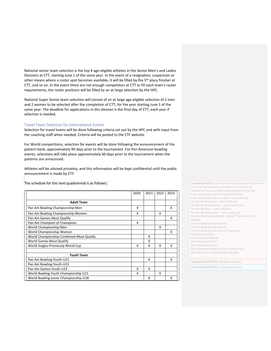National senior team selection is the top 4 age‐eligible athletes in the Senior Men's and Ladies Divisions at CTT, starting June 1 of the same year. In the event of a resignation, suspension or other means where a roster spot becomes available, it will be filled by the 5<sup>th</sup> placy finisher at CTT, and so on. In the event there are not enough competitors at CTT to fill each team's roster requirements, the roster positions will be filled by an at‐large selection by the HPC.

National Super Senior team selection will consist of an at large age-eligible selection of 2 men and 2 women to be selected after the completion of CTT, for the year starting June 1 of the same year. The deadline for applications in this division is the final day of CTT, each year if selection is needed.

## Travel Team Selection for International Events

Selection for travel teams will be done following criteria set out by the HPC and with input from the coaching staff when needed. Criteria will be posted to the CTF website.

For World competitions, selection for events will be done following the announcement of the pattern bank, approximately 90 days prior to the tournament. For Pan American bowling events, selections will take place approximately 60 days prior to the tournament when the patterns are announced.

Athletes will be advised privately, and this information will be kept confidential until the public announcement is made by CTF.

The schedule for the next quadrennial is as follows:

|                                          | 2020 | 2021 | 2022 | 2023 |
|------------------------------------------|------|------|------|------|
|                                          |      |      |      |      |
| <b>Adult Team</b>                        |      |      |      |      |
| Pan Am Bowling Championship-Men          | x    |      |      | x    |
| Pan Am Bowling Championship-Women        | x    |      | x    |      |
| Pan Am Games-Must Qualify                |      |      |      | X    |
| Pan Am Champion of Champions             | x    |      |      |      |
| World Championship-Men                   |      |      | x    |      |
| World Championship-Women                 |      |      |      | x    |
| World Championship-Combined-Must Qualify |      | x    |      |      |
| World Games-Must Qualify                 |      | X    |      |      |
| World Singles-Previously World Cup       | x    | x    | x    | x    |
| <b>Youth Team</b>                        |      |      |      |      |
| Pan Am Bowling-Youth-U21                 |      | x    |      | x    |
| Pan Am Bowling-Youth-U23                 |      |      |      |      |
| Pan Am Games-Youth-U23                   | x    | x    |      |      |
| World Bowling Youth Championship-U21     | x    |      | x    |      |
| World Bowling Junior Championship-U18    |      | x    |      | x    |

**Commented [CI1]:** Can we say that a quadrennial schedule will be on the website or we edit this to be a list of Federation Events we attend (depending on Funding) I am concerned as this is already outdated. If we List (please check my years I am guessing) Pan Am Bowling Men - every odd year Pan Am Bowling Woman – every event year Pan Am Bowling – every odd year Pan Am Bowling Senior – every even year Pan Am Bowling Combined – every 4<sup>th</sup> Quarter (must Qualify) Pan Am Bowling Youth Games Pan Am Bowling Adult Games Pan Am Bowling Champion of Champions World Bowling Men World Bowling Woman World Bowling Youth World Bowling Seniors World Bowling Singles (formerly World Cup) Word Bowling Combined (Must Qualify)

**Commented [CI2R1]:** Whatever is easier

**Commented [TR3R1]:** Looks good to me.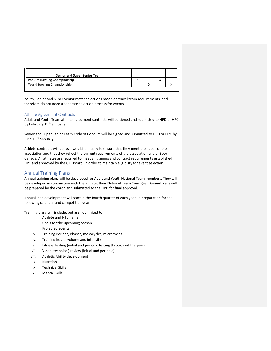| Senior and Super Senior Team |  |  |
|------------------------------|--|--|
| Pan Am Bowling Championship  |  |  |
| World Bowling Championship   |  |  |
|                              |  |  |

Youth, Senior and Super Senior roster selections based on travel team requirements, and therefore do not need a separate selection process for events.

## Athlete Agreement Contracts

Adult and Youth Team athlete agreement contracts will be signed and submitted to HPD or HPC by February 15<sup>th</sup> annually.

Senior and Super Senior Team Code of Conduct will be signed and submitted to HPD or HPC by June 15<sup>th</sup> annually.

Athlete contracts will be reviewed bi‐annually to ensure that they meet the needs of the association and that they reflect the current requirements of the association and or Sport Canada. All athletes are required to meet all training and contract requirements established HPC and approved by the CTF Board, in order to maintain eligibility for event selection.

# Annual Training Plans

Annual training plans will be developed for Adult and Youth National Team members. They will be developed in conjunction with the athlete, their National Team Coach(es). Annual plans will be prepared by the coach and submitted to the HPD for final approval.

Annual Plan development will start in the fourth quarter of each year, in preparation for the following calendar and competition year.

Training plans will include, but are not limited to:

- i. Athlete and NTC name
- ii. Goals for the upcoming season
- iii. Projected events
- iv. Training Periods, Phases, mesocycles, microcycles
- v. Training hours, volume and intensity
- vi. Fitness Testing (initial and periodic testing throughout the year)
- vii. Video (technical) review (initial and periodic)
- viii. Athletic Ability development
- ix. Nutrition
- x. Technical Skills
- xi. Mental Skills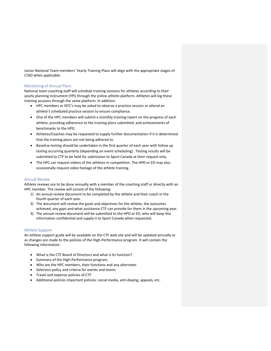Junior National Team members' Yearly Training Plans will align with the appropriate stages of LTAD when applicable.

## Monitoring of Annual Plans

National team coaching staff will schedule training sessions for athletes according to their yearly planning instrument (YPI) through the online athlete platform. Athletes will log these training sessions through the same platform. In addition:

- HPC members or NTC's may be asked to observe a practice session or attend an athlete's scheduled practice session to ensure compliance.
- One of the HPC members will submit a monthly training report on the progress of each athlete, providing adherence to the training plans submitted, and achievements of benchmarks to the HPD.
- Athletes/Coaches may be requested to supply further documentation if it is determined that the training plans are not being adhered to.
- Baseline testing should be undertaken in the first quarter of each year with follow up testing occurring quarterly (depending on event scheduling). Testing results will be submitted to CTF to be held for submission to Sport Canada at their request only.
- The HPC can request videos of the athletes in competition. The HPD or ED may also occasionally request video footage of the athlete training.

## Annual Review

Athlete reviews are to be done annually with a member of the coaching staff or directly with an HPC member. The review will consist of the following:

- 1) An annual review document to be completed by the athlete and their coach in the fourth quarter of each year.
- 2) The document will review the goals and objectives for the athlete, the outcomes achieved, any gaps and what assistance CTF can provide for them in the upcoming year.
- 3) The annual review document will be submitted to the HPD or ED, who will keep this information confidential and supply it to Sport Canada when requested.

## Athlete Support

An athlete support guide will be available on the CTF web site and will be updated annually or as changes are made to the policies of the High‐Performance program. It will contain the following information:

- What is the CTF Board of Directors and what is its function?
- Summary of the High‐Performance program,
- Who are the HPC members, their functions and any alternates
- Selection policy and criteria for events and teams
- Travel and expense policies of CTF
- Additional policies important policies: social media, anti-doping, appeals, etc.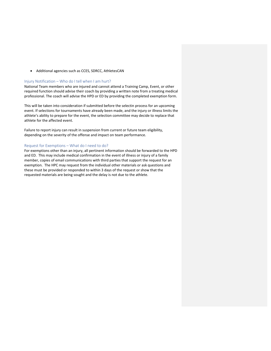Additional agencies such as CCES, SDRCC, AthletesCAN

## Injury Notification – Who do I tell when I am hurt?

National Team members who are injured and cannot attend a Training Camp, Event, or other required function should advise their coach by providing a written note from a treating medical professional. The coach will advise the HPD or ED by providing the completed exemption form.

This will be taken into consideration if submitted before the selectin process for an upcoming event. If selections for tournaments have already been made, and the injury or illness limits the athlete's ability to prepare for the event, the selection committee may decide to replace that athlete for the affected event.

Failure to report injury can result in suspension from current or future team eligibility, depending on the severity of the offense and impact on team performance.

## Request for Exemptions – What do I need to do?

For exemptions other than an injury, all pertinent information should be forwarded to the HPD and ED. This may include medical confirmation in the event of illness or injury of a family member, copies of email communications with third parties that support the request for an exemption. The HPC may request from the individual other materials or ask questions and these must be provided or responded to within 3 days of the request or show that the requested materials are being sought and the delay is not due to the athlete.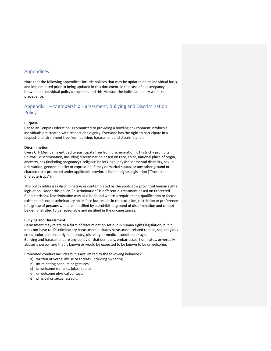# Appendices

Note that the following appendices include policies that may be updated on an individual basis, and implemented prior to being updated in this document. In the case of a discrepancy between an individual policy document, and this Manual, the individual policy will take precedence.

# Appendix 1 – Membership Harassment, Bullying and Discrimination Policy

## **Purpose**

Canadian Tenpin Federation is committed to providing a bowling environment in which all individuals are treated with respect and dignity. Everyone has the right to participate in a respectful environment free from bullying, harassment and discrimination.

## **Discrimination**

Every CTF Member is entitled to participate free from discrimination. CTF strictly prohibits unlawful discrimination, including discrimination based on race, color, national place of origin, ancestry, sex (including pregnancy), religious beliefs, age, physical or mental disability, sexual orientation, gender identity or expression, family or marital status, or any other ground or characteristic protected under applicable provincial human rights legislation ("Protected Characteristics").

This policy addresses discrimination as contemplated by the applicable provincial human rights legislation. Under this policy, "discrimination" is differential treatment based on Protected Characteristics. Discrimination may also be found where a requirement, qualification or factor exists that is not discriminatory on its face but results in the exclusion, restriction or preference of a group of persons who are identified by a prohibited ground of discrimination and cannot be demonstrated to be reasonable and justified in the circumstances.

## **Bullying and Harassment**

Harassment may relate to a form of discrimination set out in human rights legislation, but it does not have to. Discriminatory harassment includes harassment related to race, sex, religious creed, color, national origin, ancestry, disability or medical condition or age. Bullying and harassment are any behavior that demeans, embarrasses, humiliates, or verbally abuses a person and that is known or would be expected to be known to be unwelcome.

Prohibited conduct includes but is not limited to the following behaviors:

- a) written or verbal abuse or threats, including swearing;
- b) intimidating conduct or gestures;
- c) unwelcome remarks, jokes, taunts;
- d) unwelcome physical contact;
- e) physical or sexual assault;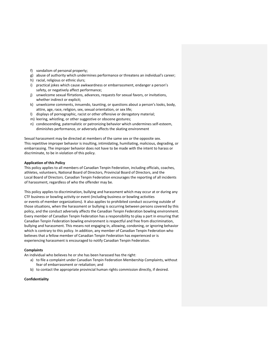- f) vandalism of personal property;
- g) abuse of authority which undermines performance or threatens an individual's career;
- h) racial, religious or ethnic slurs;
- i) practical jokes which cause awkwardness or embarrassment, endanger a person's safety, or negatively affect performance;
- j) unwelcome sexual flirtations, advances, requests for sexual favors, or invitations, whether indirect or explicit;
- k) unwelcome comments, innuendo, taunting, or questions about a person's looks, body, attire, age, race, religion, sex, sexual orientation, or sex life;
- l) displays of pornographic, racist or other offensive or derogatory material;
- m) leering, whistling, or other suggestive or obscene gestures;
- n) condescending, paternalistic or patronizing behavior which undermines self‐esteem, diminishes performance, or adversely affects the skating environment

Sexual harassment may be directed at members of the same sex or the opposite sex. This repetitive improper behavior is insulting, intimidating, humiliating, malicious, degrading, or embarrassing. The improper behavior does not have to be made with the intent to harass or discriminate, to be in violation of this policy.

## **Application of this Policy**

This policy applies to all members of Canadian Tenpin Federation, including officials, coaches, athletes, volunteers, National Board of Directors, Provincial Board of Directors, and the Local Board of Directors. Canadian Tenpin Federation encourages the reporting of all incidents of harassment, regardless of who the offender may be.

This policy applies to discrimination, bullying and harassment which may occur at or during any CTF business or bowling activity or event (including business or bowling activities or events of member organizations). It also applies to prohibited conduct occurring outside of those situations, when the harassment or bullying is occurring between persons covered by this policy, and the conduct adversely affects the Canadian Tenpin Federation bowling environment. Every member of Canadian Tenpin Federation has a responsibility to play a part in ensuring that Canadian Tenpin Federation bowling environment is respectful and free from discrimination, bullying and harassment. This means not engaging in, allowing, condoning, or ignoring behavior which is contrary to this policy. In addition, any member of Canadian Tenpin Federation who believes that a fellow member of Canadian Tenpin Federation has experienced or is experiencing harassment is encouraged to notify Canadian Tenpin Federation.

#### **Complaints**

An individual who believes he or she has been harassed has the right:

- a) to file a complaint under Canadian Tenpin Federation Membership Complaints, without fear of embarrassment or retaliation; and
- b) to contact the appropriate provincial human rights commission directly, if desired.

#### **Confidentiality**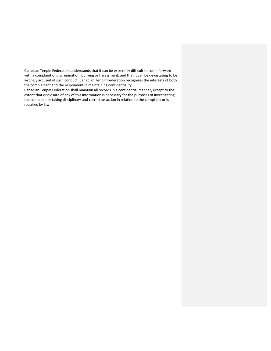Canadian Tenpin Federation understands that it can be extremely difficult to come forward with a complaint of discrimination, bullying or harassment, and that it can be devastating to be wrongly accused of such conduct. Canadian Tenpin Federation recognizes the interests of both the complainant and the respondent in maintaining confidentiality.

Canadian Tenpin Federation shall maintain all records in a confidential manner, except to the extent that disclosure of any of this information is necessary for the purposes of investigating the complaint or taking disciplinary and corrective action in relation to the complaint or is required by law.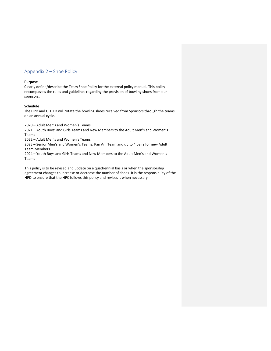# Appendix 2 – Shoe Policy

## **Purpose**

Clearly define/describe the Team Shoe Policy for the external policy manual. This policy encompasses the rules and guidelines regarding the provision of bowling shoes from our sponsors.

## **Schedule**

The HPD and CTF ED will rotate the bowling shoes received from Sponsors through the teams on an annual cycle.

2020 – Adult Men's and Women's Teams

2021 – Youth Boys' and Girls Teams and New Members to the Adult Men's and Women's Teams

2022 – Adult Men's and Women's Teams

2023 – Senior Men's and Women's Teams, Pan Am Team and up to 4 pairs for new Adult Team Members.

2024 – Youth Boys and Girls Teams and New Members to the Adult Men's and Women's Teams

This policy is to be revised and update on a quadrennial basis or when the sponsorship agreement changes to increase or decrease the number of shoes. It is the responsibility of the HPD to ensure that the HPC follows this policy and revises it when necessary.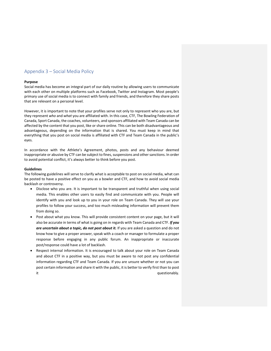# Appendix 3 – Social Media Policy

## **Purpose**

Social media has become an integral part of our daily routine by allowing users to communicate with each other on multiple platforms such as Facebook, Twitter and Instagram. Most people's primary use of social media is to connect with family and friends, and therefore they share posts that are relevant on a personal level.

However, it is important to note that your profiles serve not only to represent who you are, but they represent *who* and *what* you are affiliated with. In this case, CTF, The Bowling Federation of Canada, Sport Canada, the coaches, volunteers, and sponsors affiliated with Team Canada can be affected by the content that you post, like or share online. This can be both disadvantageous and advantageous, depending on the information that is shared. You must keep in mind that everything that you post on social media is affiliated with CTF and Team Canada in the public's eyes.

In accordance with the Athlete's Agreement, photos, posts and any behaviour deemed inappropriate or abusive by CTF can be subject to fines, suspensions and other sanctions. In order to avoid potential conflict, it's always better to think before you post.

## **Guidelines**

The following guidelines will serve to clarify what is acceptable to post on social media, what can be posted to have a positive effect on you as a bowler and CTF, and how to avoid social media backlash or controversy.

- Disclose who you are. It is important to be transparent and truthful when using social media. This enables other users to easily find and communicate with you. People will identify with you and look up to you in your role on Team Canada. They will use your profiles to follow your success, and too much misleading information will prevent them from doing so.
- Post about what you know. This will provide consistent content on your page, but it will also be accurate in terms of what is going on in regards with Team Canada and CTF. *If you are uncertain about a topic, do not post about it.* If you are asked a question and do not know how to give a proper answer, speak with a coach or manager to formulate a proper response before engaging in any public forum. An inappropriate or inaccurate post/response could have a lot of backlash.
- Respect internal information. It is encouraged to talk about your role on Team Canada and about CTF in a positive way, but you must be aware to not post any confidential information regarding CTF and Team Canada. If you are unsure whether or not you can post certain information and share it with the public, it is better to verify first than to post it it also a state of the state of the state of the state of the state of the state of the state of the state o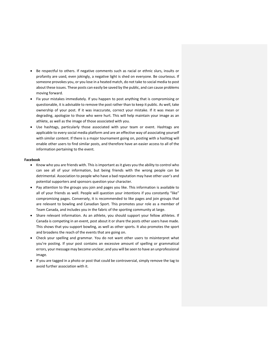- Be respectful to others. If negative comments such as racial or ethnic slurs, insults or profanity are used, even jokingly, a negative light is shed on everyone. Be courteous. If someone provokes you, or you lose in a heated match, do not take to social media to post about these issues. These posts can easily be saved by the public, and can cause problems moving forward.
- Fix your mistakes immediately. If you happen to post anything that is compromising or questionable, it is advisable to remove the post rather than to keep it public. As well, take ownership of your post. If it was inaccurate, correct your mistake. If it was mean or degrading, apologize to those who were hurt. This will help maintain your image as an athlete, as well as the image of those associated with you.
- Use hashtags, particularly those associated with your team or event. Hashtags are applicable to every social media platform and are an effective way of associating yourself with similar content. If there is a major tournament going on, posting with a hashtag will enable other users to find similar posts, and therefore have an easier access to all of the information pertaining to the event.

#### **Facebook**

- Know who you are friends with. This is important as it gives you the ability to control who can see all of your information, but being friends with the wrong people can be detrimental. Association to people who have a bad reputation may have other user's and potential supporters and sponsors question your character.
- Pay attention to the groups you join and pages you like. This information is available to all of your friends as well. People will question your intentions if you constantly "like" compromising pages. Conversely, it is recommended to like pages and join groups that are relevant to bowling and Canadian Sport. This promotes your role as a member of Team Canada, and includes you in the fabric of the sporting community at large.
- Share relevant information. As an athlete, you should support your fellow athletes. If Canada is competing in an event, post about it or share the posts other users have made. This shows that you support bowling, as well as other sports. It also promotes the sport and broadens the reach of the events that are going on.
- Check your spelling and grammar. You do not want other users to misinterpret what you're posting. If your post contains an excessive amount of spelling or grammatical errors, your message may become unclear, and you will be seen to have an unprofessional image.
- If you are tagged in a photo or post that could be controversial, simply remove the tag to avoid further association with it.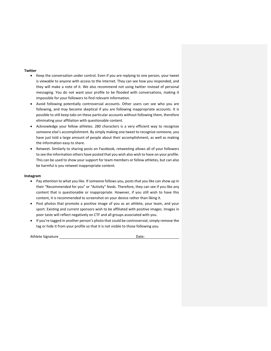## **Twitter**

- Keep the conversation under control. Even if you are replying to one person, your tweet is viewable to anyone with access to the internet. They can see how you responded, and they will make a note of it. We also recommend not using twitter instead of personal messaging. You do not want your profile to be flooded with conversations, making it impossible for your followers to find relevant information.
- Avoid following potentially controversial accounts. Other users can see who you are following, and may become skeptical if you are following inappropriate accounts. It is possible to still keep tabs on these particular accounts without following them, therefore eliminating your affiliation with questionable content.
- Acknowledge your fellow athletes. 280 characters is a very efficient way to recognize someone else's accomplishment. By simply making one tweet to recognize someone, you have just told a large amount of people about their accomplishment, as well as making the information easy to share.
- Retweet. Similarly to sharing posts on Facebook, retweeting allows all of your followers to see the information others have posted that you wish also wish to have on your profile. This can be used to show your support for team members or fellow athletes, but can also be harmful is you retweet inappropriate content.

## **Instagram**

- Pay attention to what you like. If someone follows you, posts that you like can show up in their "Recommended for you" or "Activity" feeds. Therefore, they can see if you like any content that is questionable or inappropriate. However, if you still wish to have this content, it is recommended to screenshot on your device rather than liking it.
- Post photos that promote a positive image of you as an athlete, your team, and your sport. Existing and current sponsors wish to be affiliated with positive images. Images in poor taste will reflect negatively on CTF and all groups associated with you.
- If you're tagged in another person's photo that could be controversial, simply remove the tag or hide it from your profile so that it is not visible to those following you.

| Athlete Signature | Date: |
|-------------------|-------|
|                   |       |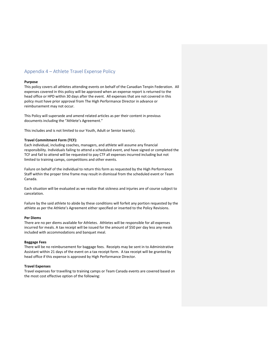# Appendix 4 – Athlete Travel Expense Policy

## **Purpose**

This policy covers all athletes attending events on behalf of the Canadian Tenpin Federation. All expenses covered in this policy will be approved when an expense report is returned to the head office or HPD within 30 days after the event. All expenses that are not covered in this policy must have prior approval from The High Performance Director in advance or reimbursement may not occur.

This Policy will supersede and amend related articles as per their content in previous documents including the "Athlete's Agreement."

This includes and is not limited to our Youth, Adult or Senior team(s).

#### **Travel Commitment Form (TCF):**

Each individual, including coaches, managers, and athlete will assume any financial responsibility. Individuals failing to attend a scheduled event, and have signed or completed the TCF and fail to attend will be requested to pay CTF all expenses incurred including but not limited to training camps, competitions and other events.

Failure on behalf of the individual to return this form as requested by the High Performance Staff within the proper time frame may result in dismissal from the scheduled event or Team Canada.

Each situation will be evaluated as we realize that sickness and injuries are of course subject to cancelation.

Failure by the said athlete to abide by these conditions will forfeit any portion requested by the athlete as per the Athlete's Agreement either specified or inserted to the Policy Revisions.

## **Per Diems**

There are no per diems available for Athletes. Athletes will be responsible for all expenses incurred for meals. A tax receipt will be issued for the amount of \$50 per day less any meals included with accommodations and banquet meal.

#### **Baggage Fees**

There will be no reimbursement for baggage fees. Receipts may be sent in to Administrative Assistant within 21 days of the event on a tax receipt form. A tax receipt will be granted by head office if this expense is approved by High Performance Director.

## **Travel Expenses**

Travel expenses for travelling to training camps or Team Canada events are covered based on the most cost effective option of the following: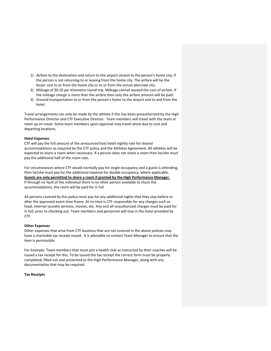- 1) Airfare to the destination and return to the airport closest to the person's home city; if the person is not returning to or leaving from the home city. The airfare will be the lesser cost to or from the home city or to or from the actual alternate city.
- 2) Mileage of \$0.20 per kilometre round trip. Mileage cannot exceed the cost of airfare. If the mileage charge is more than the airfare then only the airfare amount will be paid.
- 3) Ground transportation to or from the person's home to the airport and to and from the hotel.

Travel arrangements can only be made by the athlete if this has been preauthorized by the High Performance Director and CTF Executive Director. Team members will travel with the team or meet up on route. Some team members upon approval may travel alone due to cost and departing locations.

## **Hotel Expenses**

CTF will pay the full amount of the announced host hotel nightly rate for shared accommodations as required by the CTF policy and the Athletes Agreement**.** All athletes will be expected to share a room when necessary. If a person does not share a room then he/she must pay the additional half of the room rate.

For circumstances where CTF would normally pay for single occupancy and a guest is attending, then he/she must pay for the additional expense for double occupancy, where applicable**. Guests are only permitted to share a room if granted by the High Performance Manager.** If through no fault of the individual there is no other person available to share the accommodations, the room will be paid for in full.

All persons covered by this policy must pay for any additional nights that they stay before or after the approved event time frame. At no time is CTF responsible for any charges such as food, internet laundry services, movies, etc. Any and all unauthorized charges must be paid for in full, prior to checking out. Team members and personnel will stay in the hotel provided by CTF.

#### **Other Expenses**

Other expenses that arise from CTF business that are not covered in the above policies may have a charitable tax receipt issued. It is advisable to contact Team Manager to ensure that the item is permissible.

For Example: Team members that must join a health club as instructed by their coaches will be issued a tax receipt for this. To be issued the tax receipt the correct form must be properly completed, filled out and presented to the High Performance Manager, along with any documentation that may be required.

## **Tax Receipts**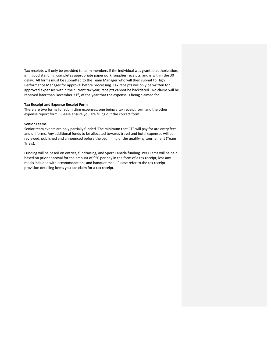Tax receipts will only be provided to team members if the individual was granted authorization, is in good standing, completes appropriate paperwork, supplies receipts, and is within the 30 delay. All forms must be submitted to the Team Manager who will then submit to High Performance Manager for approval before processing. Tax receipts will only be written for approved expenses within the current tax year, receipts cannot be backdated. No claims will be received later than December  $31^{st}$ , of the year that the expense is being claimed for.

## **Tax Receipt and Expense Receipt Form**

There are two forms for submitting expenses, one being a tax receipt form and the other expense report form. Please ensure you are filling out the correct form.

## **Senior Teams**

Senior team events are only partially funded. The minimum that CTF will pay for are entry fees and uniforms. Any additional funds to be allocated towards travel and hotel expenses will be reviewed, published and announced before the beginning of the qualifying tournament (Team Trials).

Funding will be based on entries, fundraising, and Sport Canada funding. Per Diems will be paid based on prior approval for the amount of \$50 per day in the form of a tax receipt, less any meals included with accommodations and banquet meal. Please refer to the tax receipt provision detailing items you can claim for a tax receipt.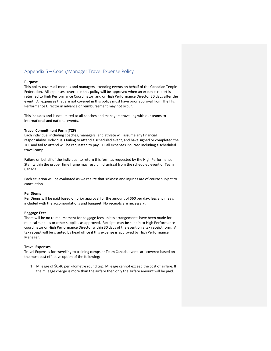# Appendix 5 – Coach/Manager Travel Expense Policy

## **Purpose**

This policy covers all coaches and managers attending events on behalf of the Canadian Tenpin Federation. All expenses covered in this policy will be approved when an expense report is returned to High Performance Coordinator, and or High Performance Director 30 days after the event. All expenses that are not covered in this policy must have prior approval from The High Performance Director in advance or reimbursement may not occur.

This includes and is not limited to all coaches and managers travelling with our teams to international and national events.

## **Travel Commitment Form (TCF)**

Each individual including coaches, managers, and athlete will assume any financial responsibility. Individuals failing to attend a scheduled event, and have signed or completed the TCF and fail to attend will be requested to pay CTF all expenses incurred including a scheduled travel camp.

Failure on behalf of the individual to return this form as requested by the High Performance Staff within the proper time frame may result in dismissal from the scheduled event or Team Canada.

Each situation will be evaluated as we realize that sickness and injuries are of course subject to cancelation.

## **Per Diems**

Per Diems will be paid based on prior approval for the amount of \$60 per day, less any meals included with the accomoodations and banquet. No receipts are necessary.

## **Baggage Fees**

There will be no reimbursement for baggage fees unless arrangements have been made for medical supplies or other supplies as approved. Receipts may be sent in to High Performance coordinator or High Performance Director within 30 days of the event on a tax receipt form. A tax receipt will be granted by head office if this expense is approved by High Performance Manager.

#### **Travel Expenses**

Travel Expenses for travelling to training camps or Team Canada events are covered based on the most cost effective option of the following:

1) Mileage of \$0.40 per kilometre round trip. Mileage cannot exceed the cost of airfare. If the mileage charge is more than the airfare then only the airfare amount will be paid.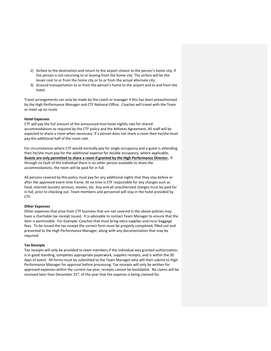- 2) Airfare to the destination and return to the airport closest to the person's home city; if the person is not returning to or leaving from the home city. The airfare will be the lesser cost to or from the home city or to or from the actual alternate city.
- 3) Ground transportation to or from the person's home to the airport and to and from the hotel.

Travel arrangements can only be made by the coach or manager if this has been preauthorized by the High Performance Manager and CTF National Office. Coaches will travel with the Team or meet up on route.

## **Hotel Expenses**

CTF will pay the full amount of the announced host hotel nightly rate for shared accommodations as required by the CTF policy and the Athletes Agreement**.** All staff will be expected to share a room when necessary. If a person does not share a room then he/she must pay the additional half of the room rate.

For circumstances where CTF would normally pay for single occupancy and a guest is attending, then he/she must pay for the additional expense for double occupancy, where applicable**. Guests are only permitted to share a room if granted by the High Performance Director.** If through no fault of the individual there is no other person available to share the accommodations, the room will be paid for in full.

All persons covered by this policy must pay for any additional nights that they stay before or after the approved event time frame. At no time is CTF responsible for any charges such as food, internet laundry services, movies, etc. Any and all unauthorized charges must be paid for in full, prior to checking out. Team members and personnel will stay in the hotel provided by CTF.

## **Other Expenses**

Other expenses that arise from CTF business that are not covered in the above policies may have a charitable tax receipt issued. It is advisable to contact Team Manager to ensure that the item is permissible. For Example: Coaches that must bring extra supplies and incur baggage fees. To be issued the tax receipt the correct form must be properly completed, filled out and presented to the High Performance Manager, along with any documentation that may be required.

## **Tax Receipts**

Tax receipts will only be provided to team members if the individual was granted authorization, is in good standing, completes appropriate paperwork, supplies receipts, and is within the 30 days of event. All forms must be submitted to the Team Manager who will then submit to High Performance Manager for approval before processing. Tax receipts will only be written for approved expenses within the current tax year, receipts cannot be backdated. No claims will be received later than December  $31<sup>st</sup>$ , of the year that the expense is being claimed for.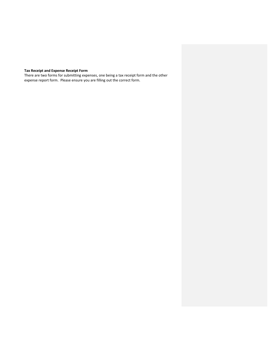# **Tax Receipt and Expense Receipt Form**

There are two forms for submitting expenses, one being a tax receipt form and the other expense report form. Please ensure you are filling out the correct form.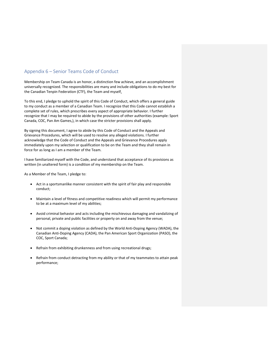# Appendix 6 – Senior Teams Code of Conduct

Membership on Team Canada is an honor, a distinction few achieve, and an accomplishment universally recognized. The responsibilities are many and include obligations to do my best for the Canadian Tenpin Federation (CTF), the Team and myself.

To this end, I pledge to uphold the spirit of this Code of Conduct, which offers a general guide to my conduct as a member of a Canadian Team. I recognize that this Code cannot establish a complete set of rules, which prescribes every aspect of appropriate behavior. I further recognize that I may be required to abide by the provisions of other authorities (example: Sport Canada, COC, Pan Am Games,), in which case the stricter provisions shall apply.

By signing this document, I agree to abide by this Code of Conduct and the Appeals and Grievance Procedures, which will be used to resolve any alleged violations. I further acknowledge that the Code of Conduct and the Appeals and Grievance Procedures apply immediately upon my selection or qualification to be on the Team and they shall remain in force for as long as I am a member of the Team.

I have familiarized myself with the Code, and understand that acceptance of its provisions as written (in unaltered form) is a condition of my membership on the Team.

As a Member of the Team, I pledge to:

- Act in a sportsmanlike manner consistent with the spirit of fair play and responsible conduct;
- Maintain a level of fitness and competitive readiness which will permit my performance to be at a maximum level of my abilities;
- Avoid criminal behavior and acts including the mischievous damaging and vandalizing of personal, private and public facilities or property on and away from the venue;
- Not commit a doping violation as defined by the World Anti-Doping Agency (WADA), the Canadian Anti‐Doping Agency (CADA), the Pan American Sport Organization (PASO), the COC, Sport Canada;
- Refrain from exhibiting drunkenness and from using recreational drugs;
- Refrain from conduct detracting from my ability or that of my teammates to attain peak performance;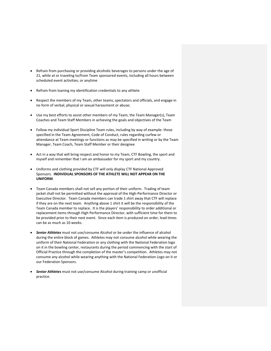- Refrain from purchasing or providing alcoholic beverages to persons under the age of 21, while at or traveling to/from Team sponsored events, including all hours between scheduled event activities; or anytime
- Refrain from loaning my identification credentials to any athlete
- Respect the members of my Team, other teams, spectators and officials, and engage in no form of verbal, physical or sexual harassment or abuse;
- Use my best efforts to assist other members of my Team, the Team Manager(s), Team Coaches and Team Staff Members in achieving the goals and objectives of the Team
- Follow my individual Sport Discipline Team rules, including by way of example: those specified in the Team Agreement, Code of Conduct, rules regarding curfew or attendance at Team meetings or functions as may be specified in writing or by the Team Manager, Team Coach, Team Staff Member or their designee
- Act in a way that will bring respect and honor to my Team, CTF Bowling, the sport and myself and remember that I am an ambassador for my sport and my country.
- Uniforms and clothing provided by CTF will only display CTF National Approved Sponsors. **INDIVIDUAL SPONSORS OF THE ATHLETE WILL NOT APPEAR ON THE UNIFORM**.
- Team Canada members shall not sell any portion of their uniform. Trading of team jacket shall not be permitted without the approval of the High‐Performance Director or Executive Director. Team Canada members can trade 1 shirt away that CTF will replace if they are on the next team. Anything above 1 shirt it will be the responsibility of the Team Canada member to replace. It is the players' responsibility to order additional or replacement items through High Performance Director, with sufficient time for them to be provided prior to their next event. Since each item is produced on order, lead times can be as much as 10 weeks.
- *Senior Athletes* must not use/consume Alcohol or be under the influence of alcohol during the entire block of games. Athletes may not consume alcohol while wearing the uniform of their National Federation or any clothing with the National Federation logo on it in the bowling center, restaurants during the period commencing with the start of Official Practice through the completion of the master's competition. Athletes may not consume any alcohol while wearing anything with the National Federation Logo on it or our Federation Sponsors.
- *Senior Athletes* must not use/consume Alcohol during training camp or unofficial practice.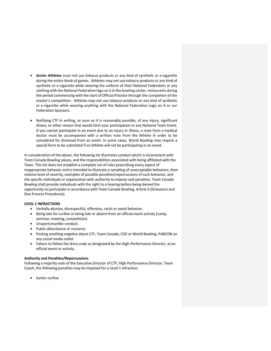- *Senior Athletes* must not use tobacco products or any kind of synthetic or e‐cigarette during the entire block of games. Athletes may not use tobacco products or any kind of synthetic or e-cigarette while wearing the uniform of their National Federation or any clothing with the National Federation logo on it in the bowling center, restaurants during the period commencing with the start of Official Practice through the completion of the master's competition. Athletes may not use tobacco products or any kind of synthetic or e‐cigarette while wearing anything with the National Federation Logo on it or our Federation Sponsors.
- Notifying CTF in writing, as soon as it is reasonably possible, of any injury, significant illness, or other reason that would limit your participation in any National Team Event. If you cannot participate in an event due to an injury or illness, a note from a medical doctor must be accompanied with a written note from the Athlete in order to be considered for dismissal from an event. In some cases, World Bowling may require a special form to be submitted if an Athlete will not be participating in an event.

In consideration of the above, the following list illustrates conduct which is inconsistent with Team Canada Bowling values, and the responsibilities associated with being affiliated with the Team. This list does not establish a complete set of rules prescribing every aspect of inappropriate behavior and is intended to illustrate a sampling of unacceptable behaviors, their relative level of severity, examples of possible penalties/repercussions of such behavior, and the specific individuals or organization with authority to impose said penalties. Team Canada Bowling shall provide individuals with the right to a hearing before being denied the opportunity to participate in accordance with Team Canada Bowling, Article X (Grievance and Due Process Procedures).

## **LEVEL 1 INFRACTIONS**

- Verbally abusive, disrespectful, offensive, racist or sexist behavior.
- Being late for curfew or being late or absent from an official event activity (camp, seminar, meeting, competition).
- Unsportsmanlike conduct.
- Public disturbance or nuisance
- Posting anything negative about CTF, Team Canada, COC or World Bowling, PABCON on any social media outlet
- Failure to follow the dress code as designated by the High-Performance Director, at an official event or activity.

#### **Authority and Penalties/Repercussions**

Following a majority vote of the Executive Director of CTF, High Performance Director, Team Coach, the following penalties may be imposed for a Level 1 infraction.

• Earlier curfew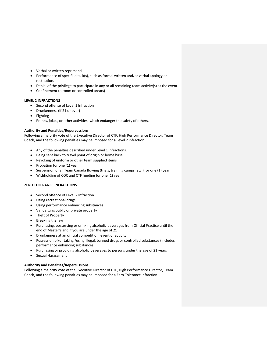- Verbal or written reprimand
- Performance of specified task(s), such as formal written and/or verbal apology or restitution.
- Denial of the privilege to participate in any or all remaining team activity(s) at the event.
- Confinement to room or controlled area(s)

## **LEVEL 2 INFRACTIONS**

- Second offense of Level 1 Infraction
- Drunkenness (if 21 or over)
- Fighting
- Pranks, jokes, or other activities, which endanger the safety of others.

## **Authority and Penalties/Repercussions**

Following a majority vote of the Executive Director of CTF, High Performance Director, Team Coach, and the following penalties may be imposed for a Level 2 infraction.

- Any of the penalties described under Level 1 infractions.
- Being sent back to travel point of origin or home base
- Revoking of uniform or other team supplied items
- $\bullet$  Probation for one (1) year
- Suspension of all Team Canada Bowing (trials, training camps, etc.) for one (1) year
- Withholding of COC and CTF funding for one (1) year

# **ZERO TOLERANCE INFRACTIONS**

- Second offence of Level 2 Infraction
- Using recreational drugs
- Using performance enhancing substances
- Vandalizing public or private property
- Theft of Property
- Breaking the law
- Purchasing, possessing or drinking alcoholic beverages from Official Practice until the end of Master's and if you are under the age of 21
- Drunkenness at an official competition, event or activity
- Possession of/or taking /using illegal, banned drugs or controlled substances (includes performance enhancing substances)
- Purchasing or providing alcoholic beverages to persons under the age of 21 years
- Sexual Harassment

## **Authority and Penalties/Repercussions**

Following a majority vote of the Executive Director of CTF, High Performance Director, Team Coach, and the following penalties may be imposed for a Zero Tolerance infraction.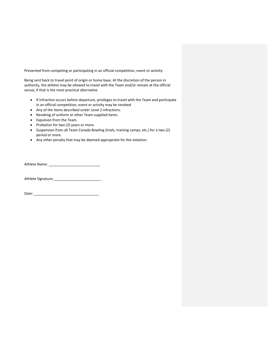Prevented from competing or participating in an official competition, event or activity

Being sent back to travel point of origin or home base. At the discretion of the person in authority, the athlete may be allowed to travel with the Team and/or remain at the official venue, if that is the most practical alternative

- If infraction occurs before departure, privileges to travel with the Team and participate in an official competition, event or activity may be revoked
- Any of the items described under Level 2 infractions.
- Revoking of uniform or other Team supplied items.
- Expulsion from the Team.
- Probation for two (2) years or more.
- Suspension from all Team Canada Bowling (trials, training camps, etc.) for a two (2) period or more.
- Any other penalty that may be deemed appropriate for the violation.

Athlete Name: \_\_\_\_\_\_\_\_\_\_\_\_\_\_\_\_\_\_\_\_\_\_\_\_\_\_

Athlete Signature:\_\_\_\_\_\_\_\_\_\_\_\_\_\_\_\_\_\_\_\_\_\_\_\_

| Date: |  |  |  |
|-------|--|--|--|
|       |  |  |  |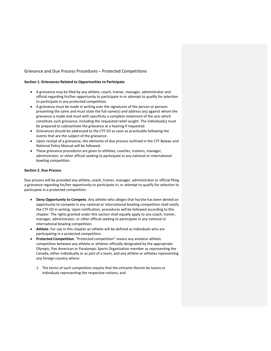## Grievance and Due Process Procedures – Protected Competitions

## **Section 1. Grievances Related to Opportunities to Participate**

- A grievance may be filed by any athlete, coach, trainer, manager, administrator and official regarding his/her opportunity to participate in or attempt to qualify for selection to participate in any protected competition.
- A grievance must be made in writing over the signatures of the person or persons presenting the same and must state the full name(s) and address (es) against whom the grievance is made and must with specificity a complete statement of the acts which constitute such grievance, including the requested relief sought. The individual(s) must be prepared to substantiate the grievance at a hearing if requested
- Grievances should be addressed to the CTF ED as soon as practicable following the events that are the subject of the grievance.
- Upon receipt of a grievance, the elements of due process outlined in the CTF Bylaws and National Policy Manual will be followed.
- These grievance procedures are given to athletes, coaches, trainers, manager, administrator, or other official seeking to participate in any national or international bowling competition.

## **Section 2. Due Process**

Due process will be provided any athlete, coach, trainer, manager, administrator or official filing a grievance regarding his/her opportunity to participate in, or attempt to qualify for selection to participate in a protected competition.

- **Deny Opportunity to Compete**. Any athlete who alleges that he/she has been denied an opportunity to compete in any national or international bowling competition shall notify the CTF ED in writing. Upon notification, procedures will be followed according to this chapter. The rights granted under this section shall equally apply to any coach, trainer, manager, administrator, or other official seeking to participate in any national or international bowling competition.
- **Athlete**. For use in this chapter an athlete will be defined as individuals who are participating in a protected competition.
- **Protected Competition**. "Protected competition" means any amateur athletic competition between any athlete or athletes officially designated by the appropriate Olympic, Pan American or Paralympic Sports Organization member as representing the Canada, either individually or as part of a team, and any athlete or athletes representing any foreign country where:
	- 1. The terms of such competition require that the entrants therein be teams or individuals representing the respective nations; and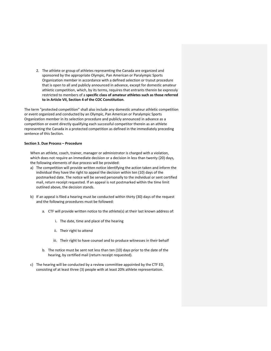2. The athlete or group of athletes representing the Canada are organized and sponsored by the appropriate Olympic, Pan American or Paralympic Sports Organization member in accordance with a defined selection or tryout procedure that is open to all and publicly announced in advance, except for domestic amateur athletic competition, which, by its terms, requires that entrants therein be expressly restricted to members of a **specific class of amateur athletes such as those referred to in Article VII, Section 4 of the COC Constitution**.

The term "protected competition" shall also include any domestic amateur athletic competition or event organized and conducted by an Olympic, Pan American or Paralympic Sports Organization member in its selection procedure and publicly announced in advance as a competition or event directly qualifying each successful competitor therein as an athlete representing the Canada in a protected competition as defined in the immediately preceding sentence of this Section.

## **Section 3. Due Process – Procedure**

When an athlete, coach, trainer, manager or administrator is charged with a violation, which does not require an immediate decision or a decision in less than twenty (20) days, the following elements of due process will be provided:

- a) The competition will provide written notice identifying the action taken and inform the individual they have the right to appeal the decision within ten (10) days of the postmarked date. The notice will be served personally to the individual or sent certified mail, return receipt requested. If an appeal is not postmarked within the time limit outlined above, the decision stands.
- b) If an appeal is filed a hearing must be conducted within thirty (30) days of the request and the following procedures must be followed:
	- a. CTF will provide written notice to the athlete(s) at their last known address of:
		- i. The date, time and place of the hearing
		- ii. Their right to attend
		- iii. Their right to have counsel and to produce witnesses in their behalf
	- b. The notice must be sent not less than ten (10) days prior to the date of the hearing, by certified mail (return receipt requested).
- c) The hearing will be conducted by a review committee appointed by the CTF ED, consisting of at least three (3) people with at least 20% athlete representation.